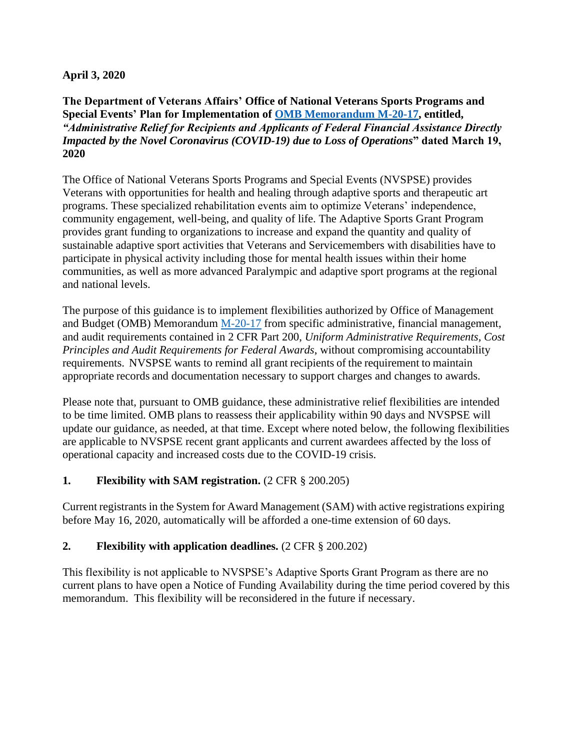#### **April 3, 2020**

**The Department of Veterans Affairs' Office of National Veterans Sports Programs and Special Events' Plan for Implementation of [OMB Memorandum M-20-17, e](https://www.whitehouse.gov/wp-content/uploads/2020/03/M-20-17.pdf)ntitled,**  *"Administrative Relief for Recipients and Applicants of Federal Financial Assistance Directly Impacted by the Novel Coronavirus (COVID-19) due to Loss of Operations***" dated March 19, 2020**

The Office of National Veterans Sports Programs and Special Events (NVSPSE) provides Veterans with opportunities for health and healing through adaptive sports and therapeutic art programs. These specialized rehabilitation events aim to optimize Veterans' independence, community engagement, well-being, and quality of life. The Adaptive Sports Grant Program provides grant funding to organizations to increase and expand the quantity and quality of sustainable adaptive sport activities that Veterans and Servicemembers with disabilities have to participate in physical activity including those for mental health issues within their home communities, as well as more advanced Paralympic and adaptive sport programs at the regional and national levels.

The purpose of this guidance is to implement flexibilities authorized by Office of Management and Budget (OMB) Memorandum [M-20-17](https://www.whitehouse.gov/wp-content/uploads/2020/03/M-20-17.pdf) from specific administrative, financial management, and audit requirements contained in 2 CFR Part 200, *Uniform Administrative Requirements, Cost Principles and Audit Requirements for Federal Awards*, without compromising accountability requirements. NVSPSE wants to remind all grant recipients of the requirement to maintain appropriate records and documentation necessary to support charges and changes to awards.

Please note that, pursuant to OMB guidance, these administrative relief flexibilities are intended to be time limited. OMB plans to reassess their applicability within 90 days and NVSPSE will update our guidance, as needed, at that time. Except where noted below, the following flexibilities are applicable to NVSPSE recent grant applicants and current awardees affected by the loss of operational capacity and increased costs due to the COVID-19 crisis.

#### **1. Flexibility with SAM registration.** (2 CFR § 200.205)

Current registrants in the System for Award Management (SAM) with active registrations expiring before May 16, 2020, automatically will be afforded a one-time extension of 60 days.

#### **2. Flexibility with application deadlines.** (2 CFR § 200.202)

This flexibility is not applicable to NVSPSE's Adaptive Sports Grant Program as there are no current plans to have open a Notice of Funding Availability during the time period covered by this memorandum. This flexibility will be reconsidered in the future if necessary.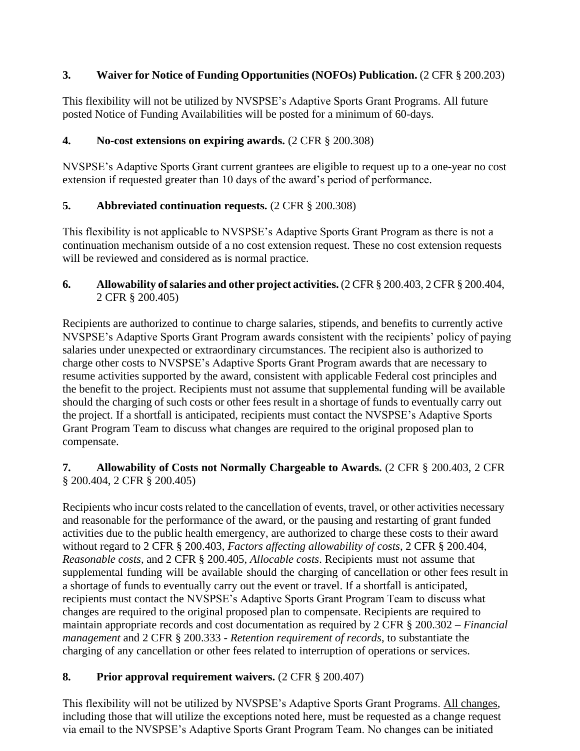## **3. Waiver for Notice of Funding Opportunities (NOFOs) Publication.** (2 CFR § 200.203)

This flexibility will not be utilized by NVSPSE's Adaptive Sports Grant Programs. All future posted Notice of Funding Availabilities will be posted for a minimum of 60-days.

### **4. No-cost extensions on expiring awards.** (2 CFR § 200.308)

NVSPSE's Adaptive Sports Grant current grantees are eligible to request up to a one-year no cost extension if requested greater than 10 days of the award's period of performance.

### **5. Abbreviated continuation requests.** (2 CFR § 200.308)

This flexibility is not applicable to NVSPSE's Adaptive Sports Grant Program as there is not a continuation mechanism outside of a no cost extension request. These no cost extension requests will be reviewed and considered as is normal practice.

#### **6. Allowability ofsalaries and other project activities.** (2 CFR § 200.403, 2 CFR § 200.404, 2 CFR § 200.405)

Recipients are authorized to continue to charge salaries, stipends, and benefits to currently active NVSPSE's Adaptive Sports Grant Program awards consistent with the recipients' policy of paying salaries under unexpected or extraordinary circumstances. The recipient also is authorized to charge other costs to NVSPSE's Adaptive Sports Grant Program awards that are necessary to resume activities supported by the award, consistent with applicable Federal cost principles and the benefit to the project. Recipients must not assume that supplemental funding will be available should the charging of such costs or other fees result in a shortage of funds to eventually carry out the project. If a shortfall is anticipated, recipients must contact the NVSPSE's Adaptive Sports Grant Program Team to discuss what changes are required to the original proposed plan to compensate.

### **7. Allowability of Costs not Normally Chargeable to Awards.** (2 CFR § 200.403, 2 CFR § 200.404, 2 CFR § 200.405)

Recipients who incur costs related to the cancellation of events, travel, or other activities necessary and reasonable for the performance of the award, or the pausing and restarting of grant funded activities due to the public health emergency, are authorized to charge these costs to their award without regard to 2 CFR § 200.403, *Factors affecting allowability of costs*, 2 CFR § 200.404, *Reasonable costs*, and 2 CFR § 200.405, *Allocable costs*. Recipients must not assume that supplemental funding will be available should the charging of cancellation or other fees result in a shortage of funds to eventually carry out the event or travel. If a shortfall is anticipated, recipients must contact the NVSPSE's Adaptive Sports Grant Program Team to discuss what changes are required to the original proposed plan to compensate. Recipients are required to maintain appropriate records and cost documentation as required by 2 CFR § 200.302 – *Financial management* and 2 CFR § 200.333 - *Retention requirement of records*, to substantiate the charging of any cancellation or other fees related to interruption of operations or services.

## **8. Prior approval requirement waivers.** (2 CFR § 200.407)

This flexibility will not be utilized by NVSPSE's Adaptive Sports Grant Programs. All changes, including those that will utilize the exceptions noted here, must be requested as a change request via email to the NVSPSE's Adaptive Sports Grant Program Team. No changes can be initiated